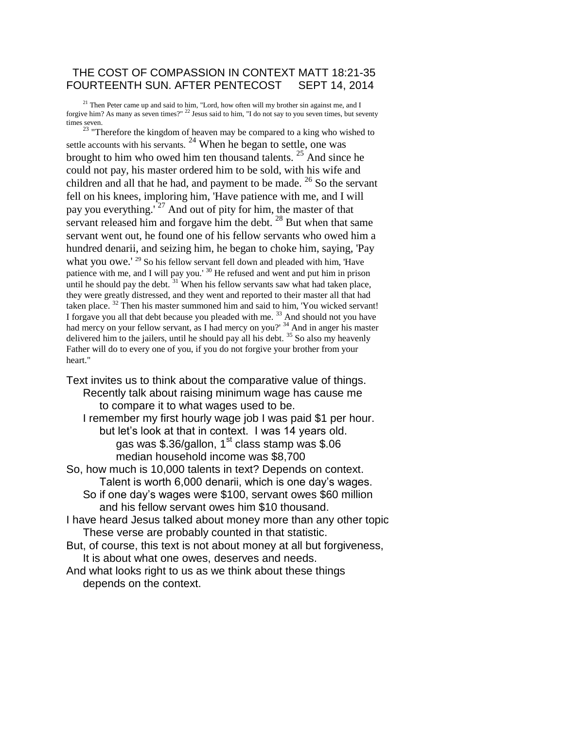### THE COST OF COMPASSION IN CONTEXT MATT 18:21-35 FOURTEENTH SUN. AFTER PENTECOST SEPT 14, 2014

 $21$  Then Peter came up and said to him, "Lord, how often will my brother sin against me, and I forgive him? As many as seven times?"  $^{22}$  Jesus said to him, "I do not say to you seven times, but seventy times seven.

 $23$  "Therefore the kingdom of heaven may be compared to a king who wished to settle accounts with his servants.  $24$  When he began to settle, one was brought to him who owed him ten thousand talents. <sup>25</sup> And since he could not pay, his master ordered him to be sold, with his wife and children and all that he had, and payment to be made. <sup>26</sup> So the servant fell on his knees, imploring him, 'Have patience with me, and I will pay you everything.<sup>'27</sup> And out of pity for him, the master of that servant released him and for gave him the debt.  $^{28}$  But when that same servant went out, he found one of his fellow servants who owed him a hundred denarii, and seizing him, he began to choke him, saying, 'Pay what you owe.' <sup>29</sup> So his fellow servant fell down and pleaded with him, 'Have patience with me, and I will pay you.' <sup>30</sup> He refused and went and put him in prison until he should pay the debt.  $31$  When his fellow servants saw what had taken place, they were greatly distressed, and they went and reported to their master all that had taken place. <sup>32</sup> Then his master summoned him and said to him, 'You wicked servant! I forgave you all that debt because you pleaded with me.<sup>33</sup> And should not you have had mercy on your fellow servant, as I had mercy on you?' <sup>34</sup> And in anger his master delivered him to the jailers, until he should pay all his debt.  $35$  So also my heavenly Father will do to every one of you, if you do not forgive your brother from your heart."

Text invites us to think about the comparative value of things. Recently talk about raising minimum wage has cause me to compare it to what wages used to be. I remember my first hourly wage job I was paid \$1 per hour. but let's look at that in context. I was 14 years old. gas was \$.36/gallon,  $1<sup>st</sup>$  class stamp was \$.06 median household income was \$8,700 So, how much is 10,000 talents in text? Depends on context. Talent is worth 6,000 denarii, which is one day's wages. So if one day's wages were \$100, servant owes \$60 million and his fellow servant owes him \$10 thousand. I have heard Jesus talked about money more than any other topic These verse are probably counted in that statistic. But, of course, this text is not about money at all but forgiveness, It is about what one owes, deserves and needs. And what looks right to us as we think about these things depends on the context.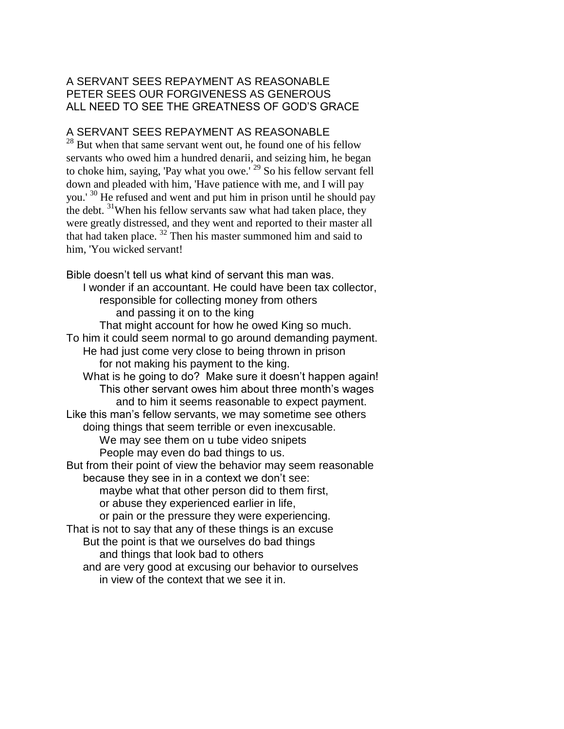# A SERVANT SEES REPAYMENT AS REASONABLE PETER SEES OUR FORGIVENESS AS GENEROUS ALL NEED TO SEE THE GREATNESS OF GOD'S GRACE

# A SERVANT SEES REPAYMENT AS REASONABLE

<sup>28</sup> But when that same servant went out, he found one of his fellow servants who owed him a hundred denarii, and seizing him, he began to choke him, saying, 'Pay what you owe.'<sup>29</sup> So his fellow servant fell down and pleaded with him, 'Have patience with me, and I will pay you.' <sup>30</sup> He refused and went and put him in prison until he should pay the debt. <sup>31</sup>When his fellow servants saw what had taken place, they were greatly distressed, and they went and reported to their master all that had taken place. <sup>32</sup> Then his master summoned him and said to him, 'You wicked servant!

Bible doesn't tell us what kind of servant this man was. I wonder if an accountant. He could have been tax collector, responsible for collecting money from others and passing it on to the king That might account for how he owed King so much. To him it could seem normal to go around demanding payment. He had just come very close to being thrown in prison for not making his payment to the king. What is he going to do? Make sure it doesn't happen again! This other servant owes him about three month's wages and to him it seems reasonable to expect payment. Like this man's fellow servants, we may sometime see others doing things that seem terrible or even inexcusable. We may see them on u tube video snipets People may even do bad things to us. But from their point of view the behavior may seem reasonable because they see in in a context we don't see: maybe what that other person did to them first, or abuse they experienced earlier in life, or pain or the pressure they were experiencing. That is not to say that any of these things is an excuse But the point is that we ourselves do bad things and things that look bad to others and are very good at excusing our behavior to ourselves in view of the context that we see it in.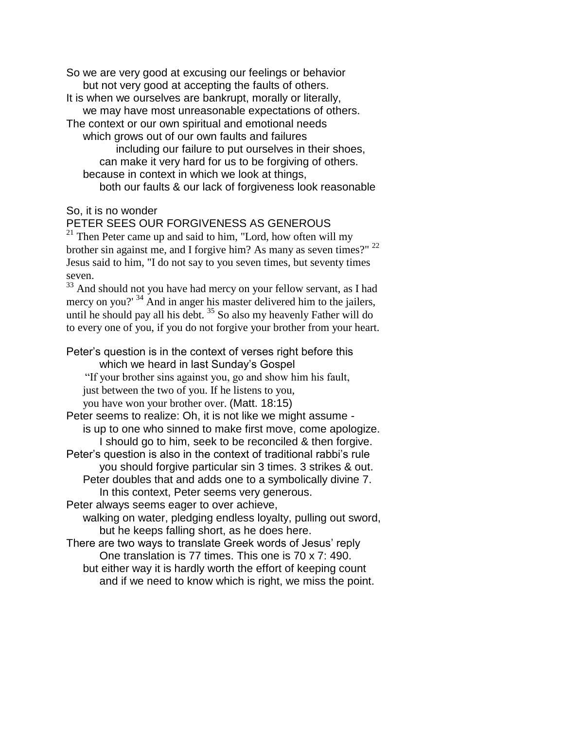So we are very good at excusing our feelings or behavior but not very good at accepting the faults of others. It is when we ourselves are bankrupt, morally or literally, we may have most unreasonable expectations of others. The context or our own spiritual and emotional needs which grows out of our own faults and failures including our failure to put ourselves in their shoes, can make it very hard for us to be forgiving of others. because in context in which we look at things, both our faults & our lack of forgiveness look reasonable

### So, it is no wonder

### PETER SEES OUR FORGIVENESS AS GENEROUS

 $21$  Then Peter came up and said to him, "Lord, how often will my brother sin against me, and I forgive him? As many as seven times?" <sup>22</sup> Jesus said to him, "I do not say to you seven times, but seventy times seven.

<sup>33</sup> And should not you have had mercy on your fellow servant, as I had mercy on you?' <sup>34</sup> And in anger his master delivered him to the jailers, until he should pay all his debt.<sup>35</sup> So also my heavenly Father will do to every one of you, if you do not forgive your brother from your heart.

#### Peter's question is in the context of verses right before this which we heard in last Sunday's Gospel

"If your brother sins against you, go and show him his fault, just between the two of you. If he listens to you,

you have won your brother over. (Matt. 18:15)

Peter seems to realize: Oh, it is not like we might assume is up to one who sinned to make first move, come apologize. I should go to him, seek to be reconciled & then forgive.

Peter's question is also in the context of traditional rabbi's rule you should forgive particular sin 3 times. 3 strikes & out. Peter doubles that and adds one to a symbolically divine 7. In this context, Peter seems very generous.

Peter always seems eager to over achieve,

walking on water, pledging endless loyalty, pulling out sword, but he keeps falling short, as he does here.

There are two ways to translate Greek words of Jesus' reply One translation is 77 times. This one is 70 x 7: 490. but either way it is hardly worth the effort of keeping count and if we need to know which is right, we miss the point.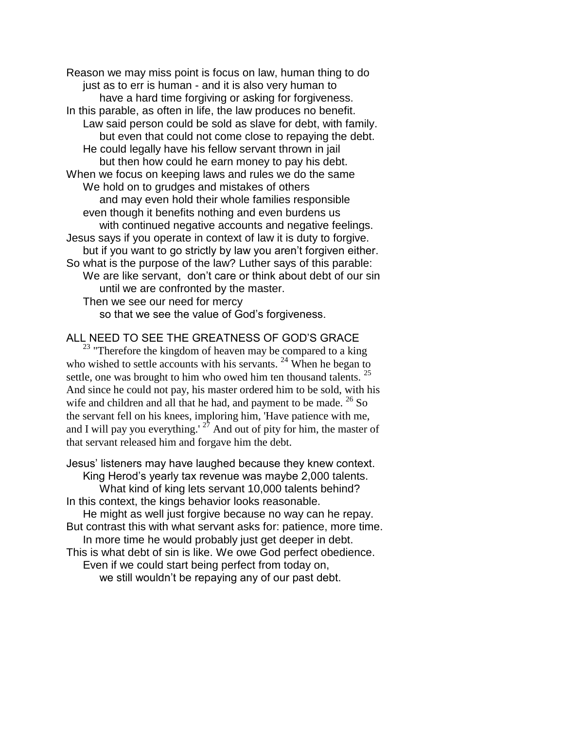Reason we may miss point is focus on law, human thing to do just as to err is human - and it is also very human to have a hard time forgiving or asking for forgiveness. In this parable, as often in life, the law produces no benefit. Law said person could be sold as slave for debt, with family. but even that could not come close to repaying the debt. He could legally have his fellow servant thrown in jail but then how could he earn money to pay his debt. When we focus on keeping laws and rules we do the same We hold on to grudges and mistakes of others and may even hold their whole families responsible even though it benefits nothing and even burdens us with continued negative accounts and negative feelings. Jesus says if you operate in context of law it is duty to forgive. but if you want to go strictly by law you aren't forgiven either. So what is the purpose of the law? Luther says of this parable: We are like servant, don't care or think about debt of our sin until we are confronted by the master. Then we see our need for mercy

so that we see the value of God's forgiveness.

### ALL NEED TO SEE THE GREATNESS OF GOD'S GRACE

 $23$  "Therefore the kingdom of heaven may be compared to a king who wished to settle accounts with his servants.  $^{24}$  When he began to settle, one was brought to him who owed him ten thousand talents. <sup>25</sup> And since he could not pay, his master ordered him to be sold, with his wife and children and all that he had, and payment to be made.  $^{26}$  So the servant fell on his knees, imploring him, 'Have patience with me, and I will pay you everything.<sup>' 27</sup> And out of pity for him, the master of that servant released him and forgave him the debt.

Jesus' listeners may have laughed because they knew context. King Herod's yearly tax revenue was maybe 2,000 talents. What kind of king lets servant 10,000 talents behind? In this context, the kings behavior looks reasonable. He might as well just forgive because no way can he repay. But contrast this with what servant asks for: patience, more time. In more time he would probably just get deeper in debt. This is what debt of sin is like. We owe God perfect obedience. Even if we could start being perfect from today on, we still wouldn't be repaying any of our past debt.